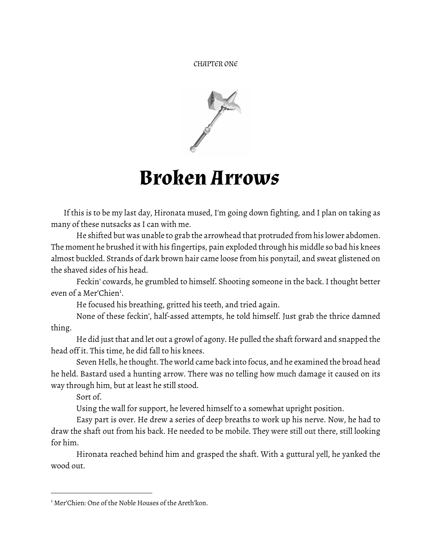CHAPTER ONE



## **Broken Arrows**

If this is to be my last day, Hironata mused, I'm going down fighting*,* and I plan on taking as many of these nutsacks as I can with me.

He shifted but was unable to grab the arrowhead that protruded from his lower abdomen. The moment he brushed it with his fingertips, pain exploded through his middle so bad his knees almost buckled. Strands of dark brown hair came loose from his ponytail, and sweat glistened on the shaved sides of his head.

Feckin' cowards, he grumbled to himself. Shooting someone in the back. I thought better even of a Mer'Chien<sup>1</sup>.

He focused his breathing, gritted his teeth, and tried again.

None of these feckin', half-assed attempts, he told himself. Just grab the thrice damned thing.

He did just that and let out a growl of agony. He pulled the shaft forward and snapped the head off it. This time, he did fall to his knees.

Seven Hells, he thought. The world came back into focus, and he examined the broad head he held. Bastard used a hunting arrow. There was no telling how much damage it caused on its way through him, but at least he still stood.

Sort of.

Using the wall for support, he levered himself to a somewhat upright position.

Easy part is over. He drew a series of deep breaths to work up his nerve. Now, he had to draw the shaft out from his back. He needed to be mobile. They were still out there, still looking for him.

Hironata reached behind him and grasped the shaft. With a guttural yell, he yanked the wood out.

<sup>&</sup>lt;sup>1</sup> Mer'Chien: One of the Noble Houses of the Areth'kon.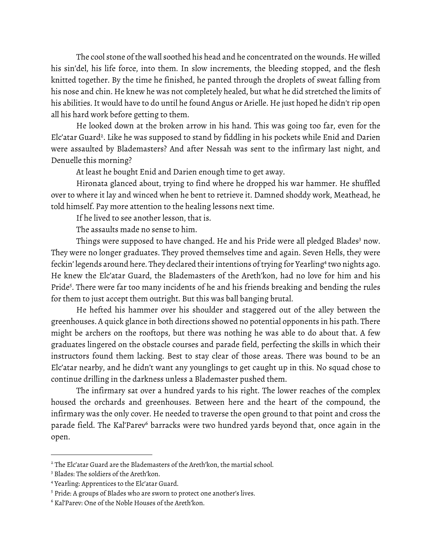The cool stone of the wall soothed his head and he concentrated on the wounds. He willed his sin'del, his life force, into them. In slow increments, the bleeding stopped, and the flesh knitted together. By the time he finished, he panted through the droplets of sweat falling from his nose and chin. He knew he was not completely healed, but what he did stretched the limits of his abilities. It would have to do until he found Angus or Arielle. He just hoped he didn't rip open all his hard work before getting to them.

He looked down at the broken arrow in his hand. This was going too far, even for the Elc'atar Guard<sup>2</sup>. Like he was supposed to stand by fiddling in his pockets while Enid and Darien were assaulted by Blademasters? And after Nessah was sent to the infirmary last night, and Denuelle this morning?

At least he bought Enid and Darien enough time to get away.

Hironata glanced about, trying to find where he dropped his war hammer. He shuffled over to where it lay and winced when he bent to retrieve it. Damned shoddy work, Meathead, he told himself. Pay more attention to the healing lessons next time.

If he lived to see another lesson, that is.

The assaults made no sense to him.

Things were supposed to have changed. He and his Pride were all pledged Blades<sup>3</sup> now. They were no longer graduates. They proved themselves time and again. Seven Hells, they were feckin' legends around here. They declared their intentions of trying for Yearling<sup>4</sup> two nights ago. He knew the Elc'atar Guard, the Blademasters of the Areth'kon, had no love for him and his Pride<sup>5</sup>. There were far too many incidents of he and his friends breaking and bending the rules for them to just accept them outright. But this was ball banging brutal.

He hefted his hammer over his shoulder and staggered out of the alley between the greenhouses. A quick glance in both directions showed no potential opponents in his path. There might be archers on the rooftops, but there was nothing he was able to do about that. A few graduates lingered on the obstacle courses and parade field, perfecting the skills in which their instructors found them lacking. Best to stay clear of those areas. There was bound to be an Elc'atar nearby, and he didn't want any younglings to get caught up in this. No squad chose to continue drilling in the darkness unless a Blademaster pushed them.

The infirmary sat over a hundred yards to his right. The lower reaches of the complex housed the orchards and greenhouses. Between here and the heart of the compound, the infirmary was the only cover. He needed to traverse the open ground to that point and cross the parade field. The Kal'Parev<sup>6</sup> barracks were two hundred yards beyond that, once again in the open.

<sup>&</sup>lt;sup>2</sup> The Elc'atar Guard are the Blademasters of the Areth'kon, the martial school.

<sup>&</sup>lt;sup>3</sup> Blades: The soldiers of the Areth'kon.<br><sup>4</sup> Yearling: Apprentices to the Elc'atar Guard.

 $^5$  Pride: A groups of Blades who are sworn to protect one another's lives.<br> $^6$  Kal'Parev: One of the Noble Houses of the Areth'kon.